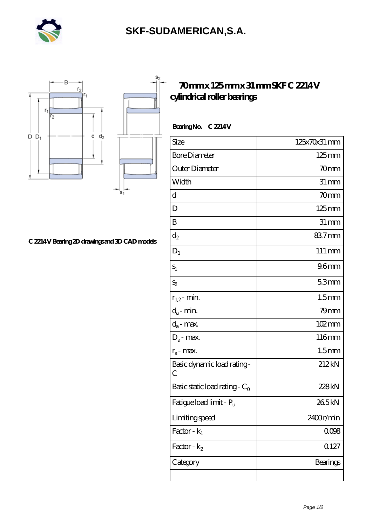

## **[SKF-SUDAMERICAN,S.A.](https://iblcheck.com)**





## **[70 mm x 125 mm x 31 mm SKF C 2214 V](https://iblcheck.com/skf-c-2214-v-bearing/) [cylindrical roller bearings](https://iblcheck.com/skf-c-2214-v-bearing/)**

Bearing No. C 2214 V

| Size                             | 125x70x31 mm        |
|----------------------------------|---------------------|
| <b>Bore Diameter</b>             | $125 \,\mathrm{mm}$ |
| Outer Diameter                   | 70mm                |
| Width                            | $31 \,\mathrm{mm}$  |
| d                                | 70 <sub>mm</sub>    |
| D                                | $125 \text{mm}$     |
| B                                | $31 \,\mathrm{mm}$  |
| $d_2$                            | 837mm               |
| $D_1$                            | $111 \,\mathrm{mm}$ |
| $S_1$                            | 96 <sub>mm</sub>    |
| $S_2$                            | 53mm                |
| $r_{1,2}$ - min.                 | 1.5 <sub>mm</sub>   |
| $d_a$ - min.                     | $79$ mm             |
| $d_a$ - max.                     | 102mm               |
| $D_a$ - max.                     | 116mm               |
| $r_a$ - max.                     | 1.5 <sub>mm</sub>   |
| Basic dynamic load rating-<br>C  | 212kN               |
| Basic static load rating - $C_0$ | 228kN               |
| Fatigue load limit - Pu          | 265kN               |
| Limiting speed                   | 2400r/min           |
| Factor - $k_1$                   | 0008                |
| Factor - $k_2$                   | 0.127               |
| Category                         | Bearings            |
|                                  |                     |

**[C 2214 V Bearing 2D drawings and 3D CAD models](https://iblcheck.com/pic-574037.html)**